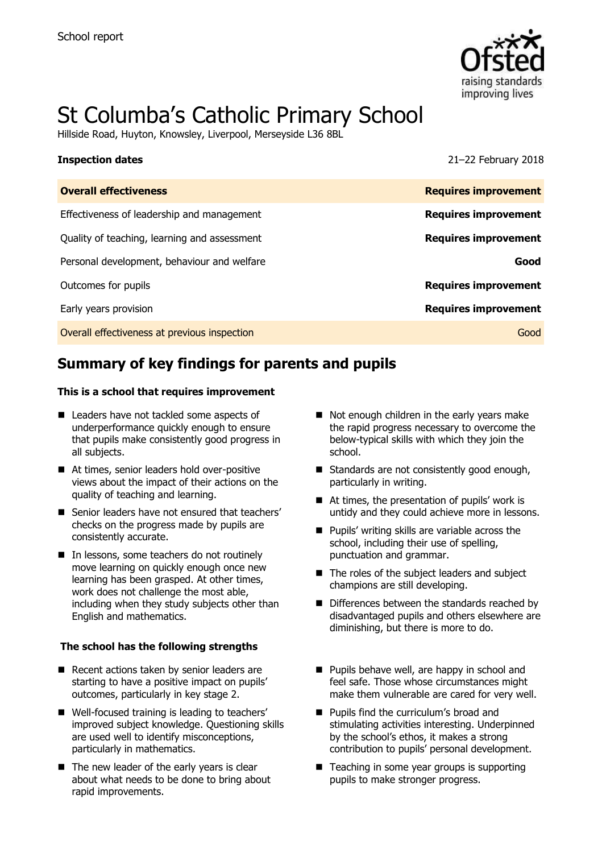

# St Columba's Catholic Primary School

Hillside Road, Huyton, Knowsley, Liverpool, Merseyside L36 8BL

**Inspection dates** 21–22 February 2018

# **Summary of key findings for parents and pupils**

### **This is a school that requires improvement**

- Leaders have not tackled some aspects of underperformance quickly enough to ensure that pupils make consistently good progress in all subjects.
- At times, senior leaders hold over-positive views about the impact of their actions on the quality of teaching and learning.
- Senior leaders have not ensured that teachers' checks on the progress made by pupils are consistently accurate.
- In lessons, some teachers do not routinely move learning on quickly enough once new learning has been grasped. At other times, work does not challenge the most able, including when they study subjects other than English and mathematics.

### **The school has the following strengths**

- Recent actions taken by senior leaders are starting to have a positive impact on pupils' outcomes, particularly in key stage 2.
- Well-focused training is leading to teachers' improved subject knowledge. Questioning skills are used well to identify misconceptions, particularly in mathematics.
- $\blacksquare$  The new leader of the early years is clear about what needs to be done to bring about rapid improvements.
- Not enough children in the early years make the rapid progress necessary to overcome the below-typical skills with which they join the school.
- Standards are not consistently good enough, particularly in writing.
- At times, the presentation of pupils' work is untidy and they could achieve more in lessons.
- **Pupils' writing skills are variable across the** school, including their use of spelling, punctuation and grammar.
- The roles of the subject leaders and subject champions are still developing.
- Differences between the standards reached by disadvantaged pupils and others elsewhere are diminishing, but there is more to do.
- **Pupils behave well, are happy in school and** feel safe. Those whose circumstances might make them vulnerable are cared for very well.
- **Pupils find the curriculum's broad and** stimulating activities interesting. Underpinned by the school's ethos, it makes a strong contribution to pupils' personal development.
- Teaching in some year groups is supporting pupils to make stronger progress.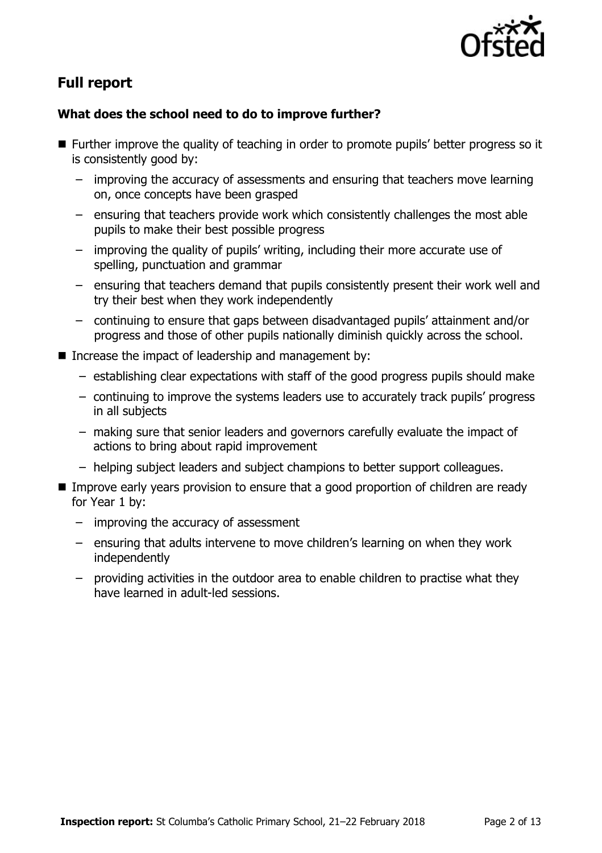

# **Full report**

### **What does the school need to do to improve further?**

- **Further improve the quality of teaching in order to promote pupils' better progress so it** is consistently good by:
	- improving the accuracy of assessments and ensuring that teachers move learning on, once concepts have been grasped
	- ensuring that teachers provide work which consistently challenges the most able pupils to make their best possible progress
	- improving the quality of pupils' writing, including their more accurate use of spelling, punctuation and grammar
	- ensuring that teachers demand that pupils consistently present their work well and try their best when they work independently
	- continuing to ensure that gaps between disadvantaged pupils' attainment and/or progress and those of other pupils nationally diminish quickly across the school.
- Increase the impact of leadership and management by:
	- establishing clear expectations with staff of the good progress pupils should make
	- continuing to improve the systems leaders use to accurately track pupils' progress in all subjects
	- making sure that senior leaders and governors carefully evaluate the impact of actions to bring about rapid improvement
	- helping subject leaders and subject champions to better support colleagues.
- **IMPROVE EXALGO EXA** Improve early years provision to ensure that a good proportion of children are ready for Year 1 by:
	- improving the accuracy of assessment
	- ensuring that adults intervene to move children's learning on when they work independently
	- providing activities in the outdoor area to enable children to practise what they have learned in adult-led sessions.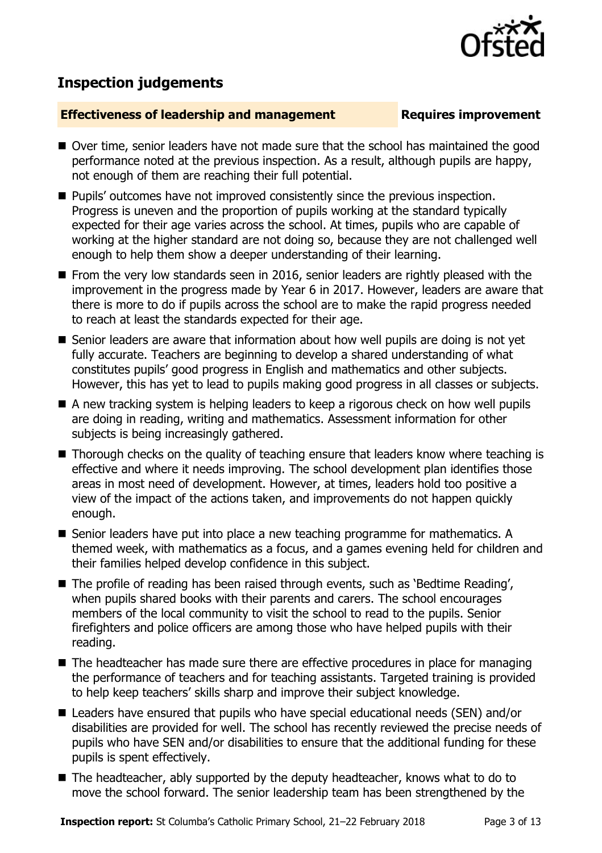# **Inspection judgements**

### **Effectiveness of leadership and management Requires improvement**

- Over time, senior leaders have not made sure that the school has maintained the good performance noted at the previous inspection. As a result, although pupils are happy, not enough of them are reaching their full potential.
- **Pupils' outcomes have not improved consistently since the previous inspection.** Progress is uneven and the proportion of pupils working at the standard typically expected for their age varies across the school. At times, pupils who are capable of working at the higher standard are not doing so, because they are not challenged well enough to help them show a deeper understanding of their learning.
- $\blacksquare$  From the very low standards seen in 2016, senior leaders are rightly pleased with the improvement in the progress made by Year 6 in 2017. However, leaders are aware that there is more to do if pupils across the school are to make the rapid progress needed to reach at least the standards expected for their age.
- Senior leaders are aware that information about how well pupils are doing is not yet fully accurate. Teachers are beginning to develop a shared understanding of what constitutes pupils' good progress in English and mathematics and other subjects. However, this has yet to lead to pupils making good progress in all classes or subjects.
- A new tracking system is helping leaders to keep a rigorous check on how well pupils are doing in reading, writing and mathematics. Assessment information for other subjects is being increasingly gathered.
- Thorough checks on the quality of teaching ensure that leaders know where teaching is effective and where it needs improving. The school development plan identifies those areas in most need of development. However, at times, leaders hold too positive a view of the impact of the actions taken, and improvements do not happen quickly enough.
- Senior leaders have put into place a new teaching programme for mathematics. A themed week, with mathematics as a focus, and a games evening held for children and their families helped develop confidence in this subject.
- The profile of reading has been raised through events, such as 'Bedtime Reading', when pupils shared books with their parents and carers. The school encourages members of the local community to visit the school to read to the pupils. Senior firefighters and police officers are among those who have helped pupils with their reading.
- The headteacher has made sure there are effective procedures in place for managing the performance of teachers and for teaching assistants. Targeted training is provided to help keep teachers' skills sharp and improve their subject knowledge.
- Leaders have ensured that pupils who have special educational needs (SEN) and/or disabilities are provided for well. The school has recently reviewed the precise needs of pupils who have SEN and/or disabilities to ensure that the additional funding for these pupils is spent effectively.
- The headteacher, ably supported by the deputy headteacher, knows what to do to move the school forward. The senior leadership team has been strengthened by the

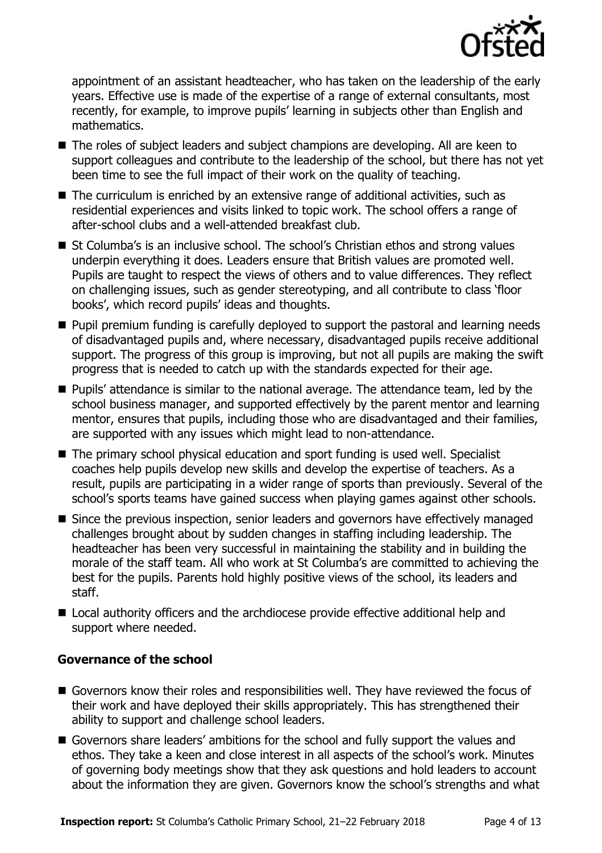

appointment of an assistant headteacher, who has taken on the leadership of the early years. Effective use is made of the expertise of a range of external consultants, most recently, for example, to improve pupils' learning in subjects other than English and mathematics.

- The roles of subject leaders and subject champions are developing. All are keen to support colleagues and contribute to the leadership of the school, but there has not yet been time to see the full impact of their work on the quality of teaching.
- $\blacksquare$  The curriculum is enriched by an extensive range of additional activities, such as residential experiences and visits linked to topic work. The school offers a range of after-school clubs and a well-attended breakfast club.
- St Columba's is an inclusive school. The school's Christian ethos and strong values underpin everything it does. Leaders ensure that British values are promoted well. Pupils are taught to respect the views of others and to value differences. They reflect on challenging issues, such as gender stereotyping, and all contribute to class 'floor books', which record pupils' ideas and thoughts.
- **Pupil premium funding is carefully deployed to support the pastoral and learning needs** of disadvantaged pupils and, where necessary, disadvantaged pupils receive additional support. The progress of this group is improving, but not all pupils are making the swift progress that is needed to catch up with the standards expected for their age.
- **Pupils'** attendance is similar to the national average. The attendance team, led by the school business manager, and supported effectively by the parent mentor and learning mentor, ensures that pupils, including those who are disadvantaged and their families, are supported with any issues which might lead to non-attendance.
- The primary school physical education and sport funding is used well. Specialist coaches help pupils develop new skills and develop the expertise of teachers. As a result, pupils are participating in a wider range of sports than previously. Several of the school's sports teams have gained success when playing games against other schools.
- Since the previous inspection, senior leaders and governors have effectively managed challenges brought about by sudden changes in staffing including leadership. The headteacher has been very successful in maintaining the stability and in building the morale of the staff team. All who work at St Columba's are committed to achieving the best for the pupils. Parents hold highly positive views of the school, its leaders and staff.
- Local authority officers and the archdiocese provide effective additional help and support where needed.

### **Governance of the school**

- Governors know their roles and responsibilities well. They have reviewed the focus of their work and have deployed their skills appropriately. This has strengthened their ability to support and challenge school leaders.
- Governors share leaders' ambitions for the school and fully support the values and ethos. They take a keen and close interest in all aspects of the school's work. Minutes of governing body meetings show that they ask questions and hold leaders to account about the information they are given. Governors know the school's strengths and what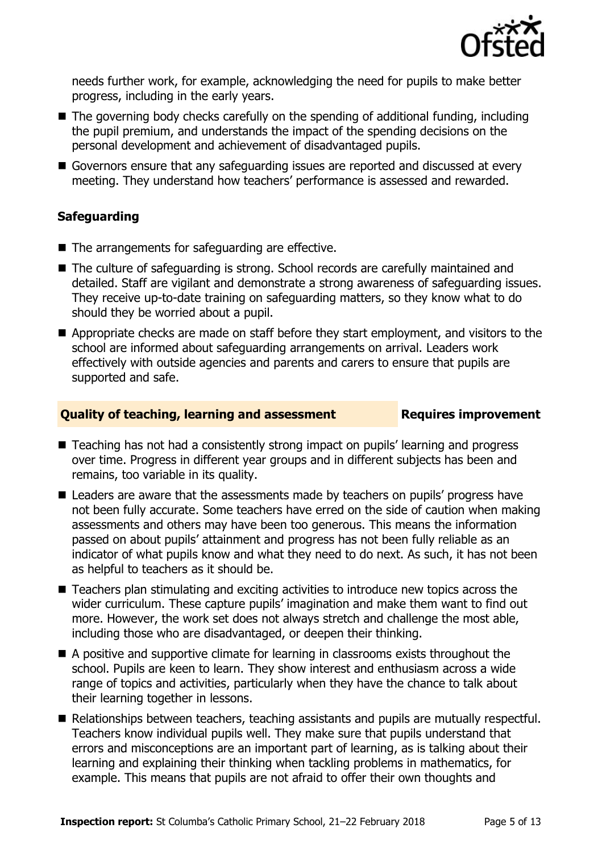

needs further work, for example, acknowledging the need for pupils to make better progress, including in the early years.

- The governing body checks carefully on the spending of additional funding, including the pupil premium, and understands the impact of the spending decisions on the personal development and achievement of disadvantaged pupils.
- Governors ensure that any safeguarding issues are reported and discussed at every meeting. They understand how teachers' performance is assessed and rewarded.

### **Safeguarding**

- The arrangements for safeguarding are effective.
- The culture of safeguarding is strong. School records are carefully maintained and detailed. Staff are vigilant and demonstrate a strong awareness of safeguarding issues. They receive up-to-date training on safeguarding matters, so they know what to do should they be worried about a pupil.
- Appropriate checks are made on staff before they start employment, and visitors to the school are informed about safeguarding arrangements on arrival. Leaders work effectively with outside agencies and parents and carers to ensure that pupils are supported and safe.

### **Quality of teaching, learning and assessment Requires improvement**

- Teaching has not had a consistently strong impact on pupils' learning and progress over time. Progress in different year groups and in different subjects has been and remains, too variable in its quality.
- Leaders are aware that the assessments made by teachers on pupils' progress have not been fully accurate. Some teachers have erred on the side of caution when making assessments and others may have been too generous. This means the information passed on about pupils' attainment and progress has not been fully reliable as an indicator of what pupils know and what they need to do next. As such, it has not been as helpful to teachers as it should be.
- Teachers plan stimulating and exciting activities to introduce new topics across the wider curriculum. These capture pupils' imagination and make them want to find out more. However, the work set does not always stretch and challenge the most able, including those who are disadvantaged, or deepen their thinking.
- A positive and supportive climate for learning in classrooms exists throughout the school. Pupils are keen to learn. They show interest and enthusiasm across a wide range of topics and activities, particularly when they have the chance to talk about their learning together in lessons.
- Relationships between teachers, teaching assistants and pupils are mutually respectful. Teachers know individual pupils well. They make sure that pupils understand that errors and misconceptions are an important part of learning, as is talking about their learning and explaining their thinking when tackling problems in mathematics, for example. This means that pupils are not afraid to offer their own thoughts and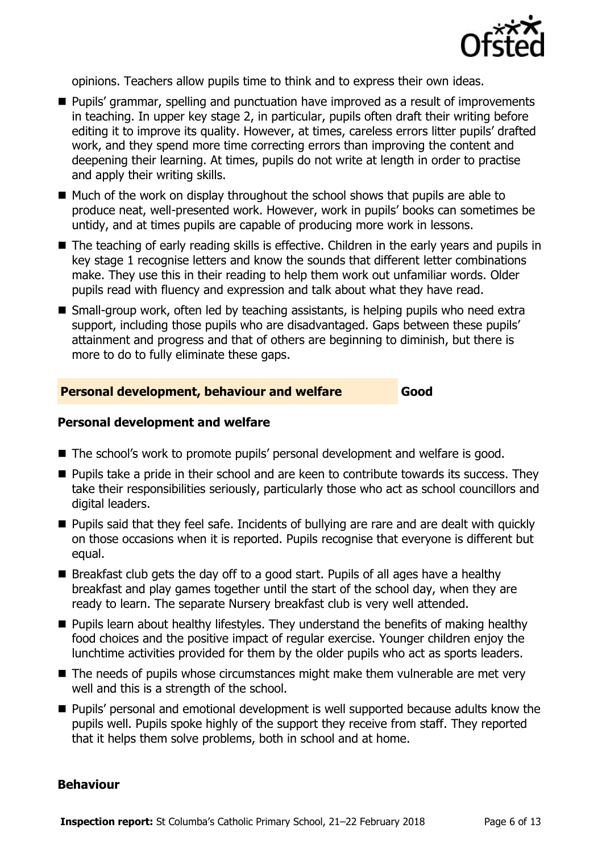

opinions. Teachers allow pupils time to think and to express their own ideas.

- **Pupils' grammar, spelling and punctuation have improved as a result of improvements** in teaching. In upper key stage 2, in particular, pupils often draft their writing before editing it to improve its quality. However, at times, careless errors litter pupils' drafted work, and they spend more time correcting errors than improving the content and deepening their learning. At times, pupils do not write at length in order to practise and apply their writing skills.
- $\blacksquare$  Much of the work on display throughout the school shows that pupils are able to produce neat, well-presented work. However, work in pupils' books can sometimes be untidy, and at times pupils are capable of producing more work in lessons.
- The teaching of early reading skills is effective. Children in the early years and pupils in key stage 1 recognise letters and know the sounds that different letter combinations make. They use this in their reading to help them work out unfamiliar words. Older pupils read with fluency and expression and talk about what they have read.
- Small-group work, often led by teaching assistants, is helping pupils who need extra support, including those pupils who are disadvantaged. Gaps between these pupils' attainment and progress and that of others are beginning to diminish, but there is more to do to fully eliminate these gaps.

### **Personal development, behaviour and welfare Good**

### **Personal development and welfare**

- The school's work to promote pupils' personal development and welfare is good.
- **Pupils take a pride in their school and are keen to contribute towards its success. They** take their responsibilities seriously, particularly those who act as school councillors and digital leaders.
- **Pupils said that they feel safe. Incidents of bullying are rare and are dealt with quickly** on those occasions when it is reported. Pupils recognise that everyone is different but equal.
- Breakfast club gets the day off to a good start. Pupils of all ages have a healthy breakfast and play games together until the start of the school day, when they are ready to learn. The separate Nursery breakfast club is very well attended.
- $\blacksquare$  Pupils learn about healthy lifestyles. They understand the benefits of making healthy food choices and the positive impact of regular exercise. Younger children enjoy the lunchtime activities provided for them by the older pupils who act as sports leaders.
- The needs of pupils whose circumstances might make them vulnerable are met very well and this is a strength of the school.
- **Pupils'** personal and emotional development is well supported because adults know the pupils well. Pupils spoke highly of the support they receive from staff. They reported that it helps them solve problems, both in school and at home.

### **Behaviour**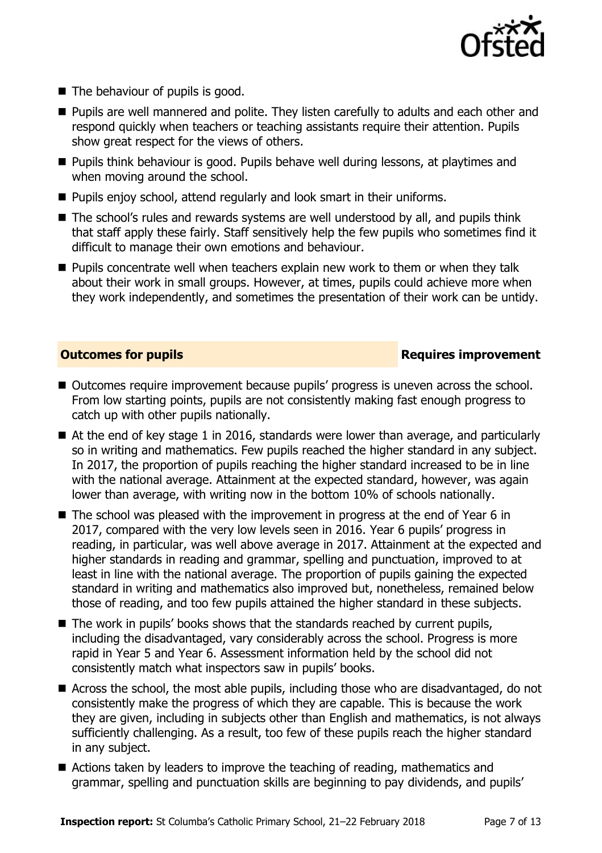

- The behaviour of pupils is good.
- **Pupils are well mannered and polite. They listen carefully to adults and each other and** respond quickly when teachers or teaching assistants require their attention. Pupils show great respect for the views of others.
- **Pupils think behaviour is good. Pupils behave well during lessons, at playtimes and** when moving around the school.
- Pupils enjoy school, attend regularly and look smart in their uniforms.
- The school's rules and rewards systems are well understood by all, and pupils think that staff apply these fairly. Staff sensitively help the few pupils who sometimes find it difficult to manage their own emotions and behaviour.
- **Pupils concentrate well when teachers explain new work to them or when they talk** about their work in small groups. However, at times, pupils could achieve more when they work independently, and sometimes the presentation of their work can be untidy.

### **Outcomes for pupils Requires improvement**

- Outcomes require improvement because pupils' progress is uneven across the school. From low starting points, pupils are not consistently making fast enough progress to catch up with other pupils nationally.
- At the end of key stage 1 in 2016, standards were lower than average, and particularly so in writing and mathematics. Few pupils reached the higher standard in any subject. In 2017, the proportion of pupils reaching the higher standard increased to be in line with the national average. Attainment at the expected standard, however, was again lower than average, with writing now in the bottom 10% of schools nationally.
- $\blacksquare$  The school was pleased with the improvement in progress at the end of Year 6 in 2017, compared with the very low levels seen in 2016. Year 6 pupils' progress in reading, in particular, was well above average in 2017. Attainment at the expected and higher standards in reading and grammar, spelling and punctuation, improved to at least in line with the national average. The proportion of pupils gaining the expected standard in writing and mathematics also improved but, nonetheless, remained below those of reading, and too few pupils attained the higher standard in these subjects.
- $\blacksquare$  The work in pupils' books shows that the standards reached by current pupils, including the disadvantaged, vary considerably across the school. Progress is more rapid in Year 5 and Year 6. Assessment information held by the school did not consistently match what inspectors saw in pupils' books.
- Across the school, the most able pupils, including those who are disadvantaged, do not consistently make the progress of which they are capable. This is because the work they are given, including in subjects other than English and mathematics, is not always sufficiently challenging. As a result, too few of these pupils reach the higher standard in any subject.
- Actions taken by leaders to improve the teaching of reading, mathematics and grammar, spelling and punctuation skills are beginning to pay dividends, and pupils'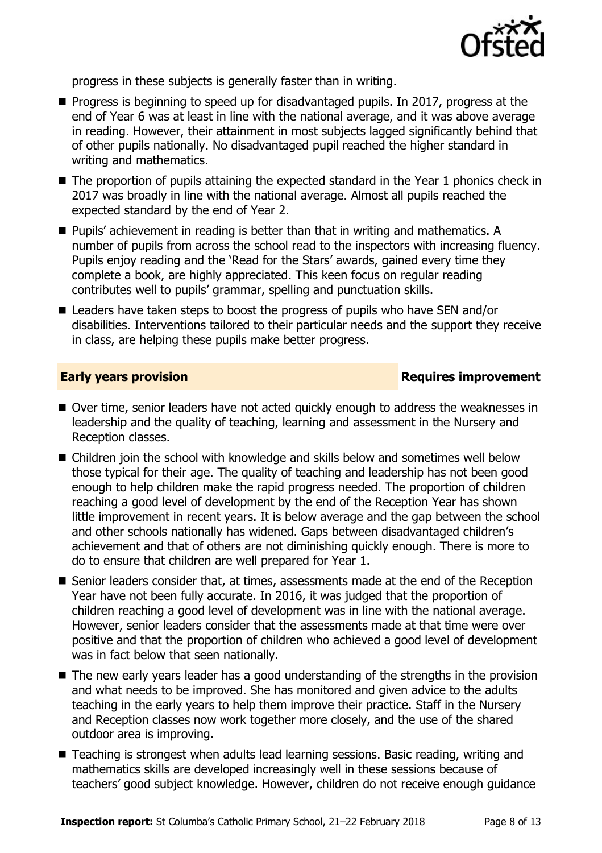

progress in these subjects is generally faster than in writing.

- **Progress is beginning to speed up for disadvantaged pupils. In 2017, progress at the** end of Year 6 was at least in line with the national average, and it was above average in reading. However, their attainment in most subjects lagged significantly behind that of other pupils nationally. No disadvantaged pupil reached the higher standard in writing and mathematics.
- The proportion of pupils attaining the expected standard in the Year 1 phonics check in 2017 was broadly in line with the national average. Almost all pupils reached the expected standard by the end of Year 2.
- Pupils' achievement in reading is better than that in writing and mathematics. A number of pupils from across the school read to the inspectors with increasing fluency. Pupils enjoy reading and the 'Read for the Stars' awards, gained every time they complete a book, are highly appreciated. This keen focus on regular reading contributes well to pupils' grammar, spelling and punctuation skills.
- Leaders have taken steps to boost the progress of pupils who have SEN and/or disabilities. Interventions tailored to their particular needs and the support they receive in class, are helping these pupils make better progress.

### **Early years provision**

- Over time, senior leaders have not acted quickly enough to address the weaknesses in leadership and the quality of teaching, learning and assessment in the Nursery and Reception classes.
- Children join the school with knowledge and skills below and sometimes well below those typical for their age. The quality of teaching and leadership has not been good enough to help children make the rapid progress needed. The proportion of children reaching a good level of development by the end of the Reception Year has shown little improvement in recent years. It is below average and the gap between the school and other schools nationally has widened. Gaps between disadvantaged children's achievement and that of others are not diminishing quickly enough. There is more to do to ensure that children are well prepared for Year 1.
- Senior leaders consider that, at times, assessments made at the end of the Reception Year have not been fully accurate. In 2016, it was judged that the proportion of children reaching a good level of development was in line with the national average. However, senior leaders consider that the assessments made at that time were over positive and that the proportion of children who achieved a good level of development was in fact below that seen nationally.
- The new early years leader has a good understanding of the strengths in the provision and what needs to be improved. She has monitored and given advice to the adults teaching in the early years to help them improve their practice. Staff in the Nursery and Reception classes now work together more closely, and the use of the shared outdoor area is improving.
- Teaching is strongest when adults lead learning sessions. Basic reading, writing and mathematics skills are developed increasingly well in these sessions because of teachers' good subject knowledge. However, children do not receive enough guidance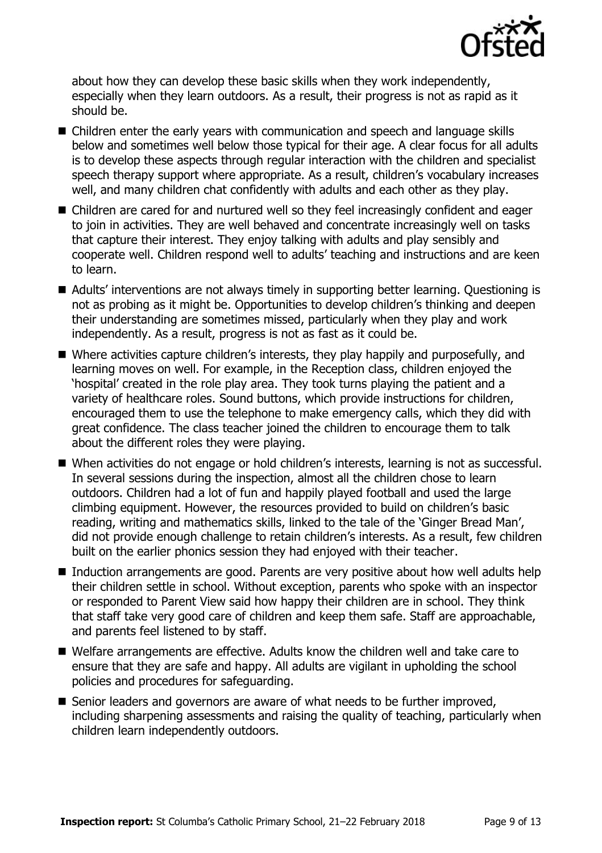

about how they can develop these basic skills when they work independently, especially when they learn outdoors. As a result, their progress is not as rapid as it should be.

- Children enter the early years with communication and speech and language skills below and sometimes well below those typical for their age. A clear focus for all adults is to develop these aspects through regular interaction with the children and specialist speech therapy support where appropriate. As a result, children's vocabulary increases well, and many children chat confidently with adults and each other as they play.
- Children are cared for and nurtured well so they feel increasingly confident and eager to join in activities. They are well behaved and concentrate increasingly well on tasks that capture their interest. They enjoy talking with adults and play sensibly and cooperate well. Children respond well to adults' teaching and instructions and are keen to learn.
- Adults' interventions are not always timely in supporting better learning. Questioning is not as probing as it might be. Opportunities to develop children's thinking and deepen their understanding are sometimes missed, particularly when they play and work independently. As a result, progress is not as fast as it could be.
- Where activities capture children's interests, they play happily and purposefully, and learning moves on well. For example, in the Reception class, children enjoyed the 'hospital' created in the role play area. They took turns playing the patient and a variety of healthcare roles. Sound buttons, which provide instructions for children, encouraged them to use the telephone to make emergency calls, which they did with great confidence. The class teacher joined the children to encourage them to talk about the different roles they were playing.
- When activities do not engage or hold children's interests, learning is not as successful. In several sessions during the inspection, almost all the children chose to learn outdoors. Children had a lot of fun and happily played football and used the large climbing equipment. However, the resources provided to build on children's basic reading, writing and mathematics skills, linked to the tale of the 'Ginger Bread Man', did not provide enough challenge to retain children's interests. As a result, few children built on the earlier phonics session they had enjoyed with their teacher.
- Induction arrangements are good. Parents are very positive about how well adults help their children settle in school. Without exception, parents who spoke with an inspector or responded to Parent View said how happy their children are in school. They think that staff take very good care of children and keep them safe. Staff are approachable, and parents feel listened to by staff.
- Welfare arrangements are effective. Adults know the children well and take care to ensure that they are safe and happy. All adults are vigilant in upholding the school policies and procedures for safeguarding.
- Senior leaders and governors are aware of what needs to be further improved, including sharpening assessments and raising the quality of teaching, particularly when children learn independently outdoors.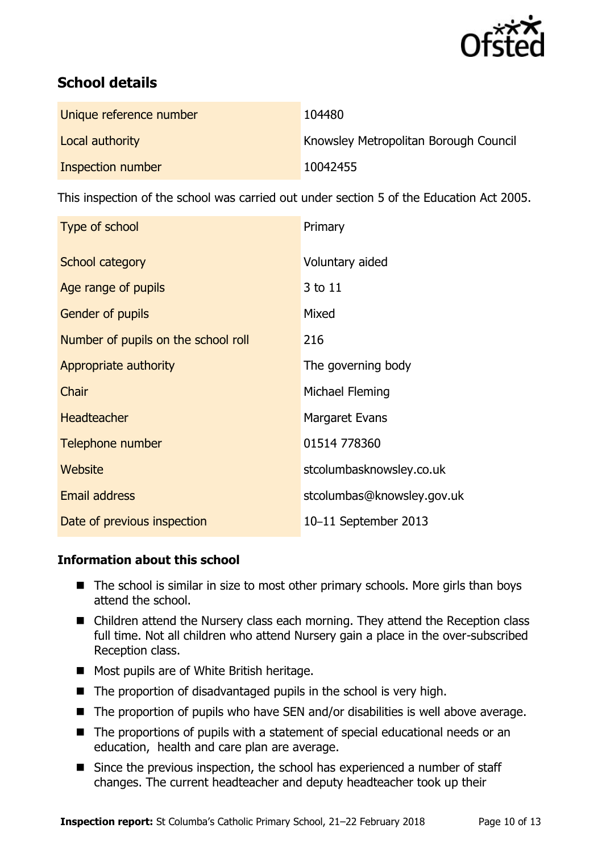

# **School details**

| Unique reference number | 104480                                       |
|-------------------------|----------------------------------------------|
| Local authority         | <b>Knowsley Metropolitan Borough Council</b> |
| Inspection number       | 10042455                                     |

This inspection of the school was carried out under section 5 of the Education Act 2005.

| Type of school                      | Primary                    |
|-------------------------------------|----------------------------|
| School category                     | Voluntary aided            |
| Age range of pupils                 | 3 to 11                    |
| Gender of pupils                    | Mixed                      |
| Number of pupils on the school roll | 216                        |
| Appropriate authority               | The governing body         |
| Chair                               | Michael Fleming            |
| <b>Headteacher</b>                  | Margaret Evans             |
| Telephone number                    | 01514 778360               |
| Website                             | stcolumbasknowsley.co.uk   |
| <b>Email address</b>                | stcolumbas@knowsley.gov.uk |
| Date of previous inspection         | 10-11 September 2013       |

### **Information about this school**

- $\blacksquare$  The school is similar in size to most other primary schools. More girls than boys attend the school.
- Children attend the Nursery class each morning. They attend the Reception class full time. Not all children who attend Nursery gain a place in the over-subscribed Reception class.
- Most pupils are of White British heritage.
- The proportion of disadvantaged pupils in the school is very high.
- $\blacksquare$  The proportion of pupils who have SEN and/or disabilities is well above average.
- The proportions of pupils with a statement of special educational needs or an education, health and care plan are average.
- Since the previous inspection, the school has experienced a number of staff changes. The current headteacher and deputy headteacher took up their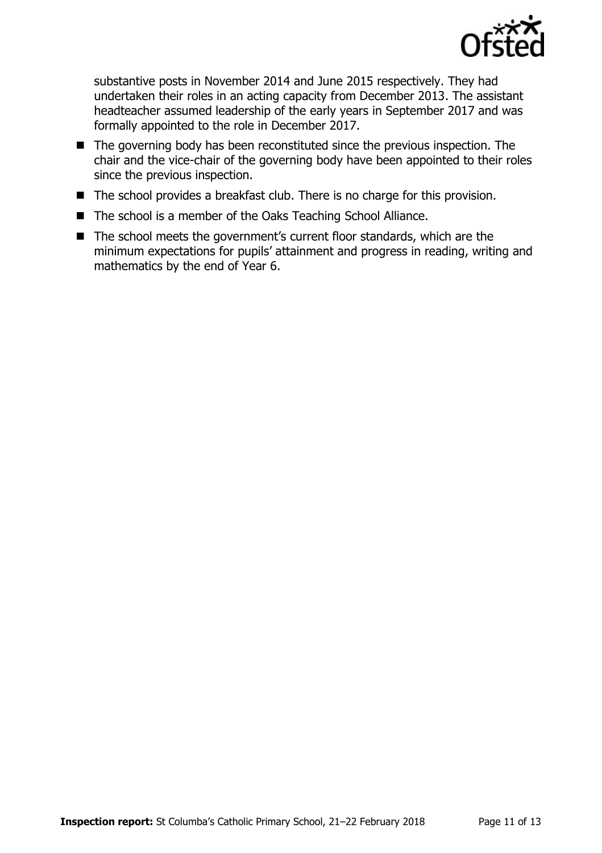

substantive posts in November 2014 and June 2015 respectively. They had undertaken their roles in an acting capacity from December 2013. The assistant headteacher assumed leadership of the early years in September 2017 and was formally appointed to the role in December 2017.

- The governing body has been reconstituted since the previous inspection. The chair and the vice-chair of the governing body have been appointed to their roles since the previous inspection.
- The school provides a breakfast club. There is no charge for this provision.
- The school is a member of the Oaks Teaching School Alliance.
- The school meets the government's current floor standards, which are the minimum expectations for pupils' attainment and progress in reading, writing and mathematics by the end of Year 6.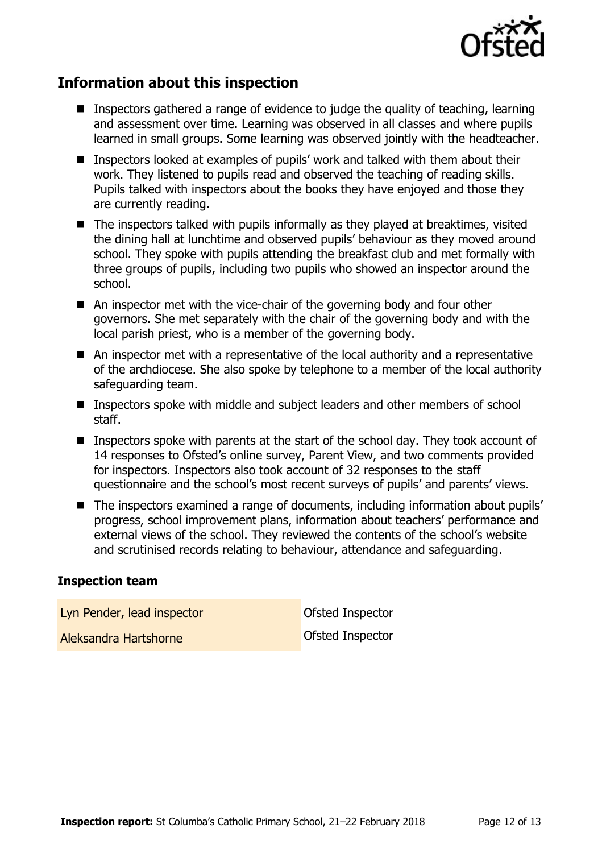

## **Information about this inspection**

- Inspectors gathered a range of evidence to judge the quality of teaching, learning and assessment over time. Learning was observed in all classes and where pupils learned in small groups. Some learning was observed jointly with the headteacher.
- Inspectors looked at examples of pupils' work and talked with them about their work. They listened to pupils read and observed the teaching of reading skills. Pupils talked with inspectors about the books they have enjoyed and those they are currently reading.
- The inspectors talked with pupils informally as they played at breaktimes, visited the dining hall at lunchtime and observed pupils' behaviour as they moved around school. They spoke with pupils attending the breakfast club and met formally with three groups of pupils, including two pupils who showed an inspector around the school.
- An inspector met with the vice-chair of the governing body and four other governors. She met separately with the chair of the governing body and with the local parish priest, who is a member of the governing body.
- An inspector met with a representative of the local authority and a representative of the archdiocese. She also spoke by telephone to a member of the local authority safeguarding team.
- Inspectors spoke with middle and subject leaders and other members of school staff.
- **Inspectors spoke with parents at the start of the school day. They took account of** 14 responses to Ofsted's online survey, Parent View, and two comments provided for inspectors. Inspectors also took account of 32 responses to the staff questionnaire and the school's most recent surveys of pupils' and parents' views.
- The inspectors examined a range of documents, including information about pupils' progress, school improvement plans, information about teachers' performance and external views of the school. They reviewed the contents of the school's website and scrutinised records relating to behaviour, attendance and safeguarding.

### **Inspection team**

Lyn Pender, lead inspector **Contact Contact Contact Contact Contact Contact Contact Contact Contact Contact Contact Contact Contact Contact Contact Contact Contact Contact Contact Contact Contact Contact Contact Contact Co** Aleksandra Hartshorne **Construction** Ofsted Inspector